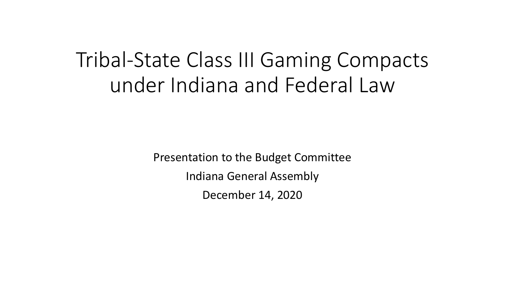# Tribal-State Class III Gaming Compacts under Indiana and Federal Law

Presentation to the Budget Committee Indiana General Assembly December 14, 2020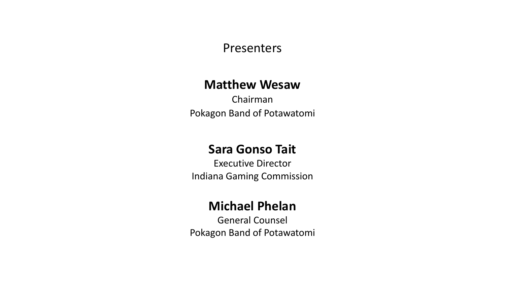#### Presenters

#### **Matthew Wesaw**

Chairman Pokagon Band of Potawatomi

#### **Sara Gonso Tait**

Executive Director Indiana Gaming Commission

### **Michael Phelan**

General Counsel Pokagon Band of Potawatomi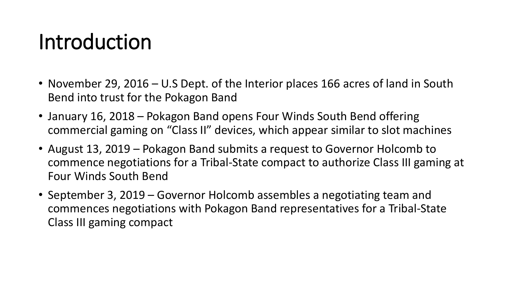# Introduction

- November 29, 2016 U.S Dept. of the Interior places 166 acres of land in South Bend into trust for the Pokagon Band
- January 16, 2018 Pokagon Band opens Four Winds South Bend offering commercial gaming on "Class II" devices, which appear similar to slot machines
- August 13, 2019 Pokagon Band submits a request to Governor Holcomb to commence negotiations for a Tribal-State compact to authorize Class III gaming at Four Winds South Bend
- September 3, 2019 Governor Holcomb assembles a negotiating team and commences negotiations with Pokagon Band representatives for a Tribal-State Class III gaming compact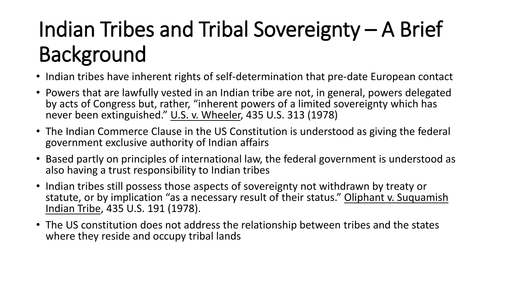# Indian Tribes and Tribal Sovereignty – A Brief Background

- Indian tribes have inherent rights of self-determination that pre-date European contact
- Powers that are lawfully vested in an Indian tribe are not, in general, powers delegated by acts of Congress but, rather, "inherent powers of a limited sovereignty which has never been extinguished." U.S. v. Wheeler, 435 U.S. 313 (1978)
- The Indian Commerce Clause in the US Constitution is understood as giving the federal government exclusive authority of Indian affairs
- Based partly on principles of international law, the federal government is understood as also having a trust responsibility to Indian tribes
- Indian tribes still possess those aspects of sovereignty not withdrawn by treaty or statute, or by implication "as a necessary result of their status." Oliphant v. Suquamish Indian Tribe, 435 U.S. 191 (1978).
- The US constitution does not address the relationship between tribes and the states where they reside and occupy tribal lands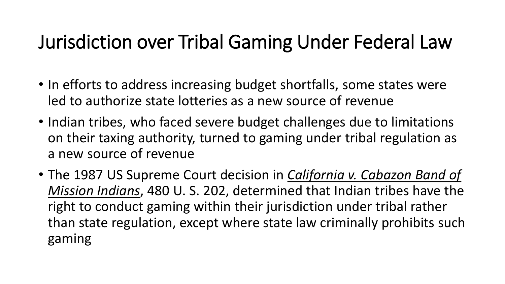## Jurisdiction over Tribal Gaming Under Federal Law

- In efforts to address increasing budget shortfalls, some states were led to authorize state lotteries as a new source of revenue
- Indian tribes, who faced severe budget challenges due to limitations on their taxing authority, turned to gaming under tribal regulation as a new source of revenue
- The 1987 US Supreme Court decision in *California v. Cabazon Band of Mission Indians*, 480 U. S. 202, determined that Indian tribes have the right to conduct gaming within their jurisdiction under tribal rather than state regulation, except where state law criminally prohibits such gaming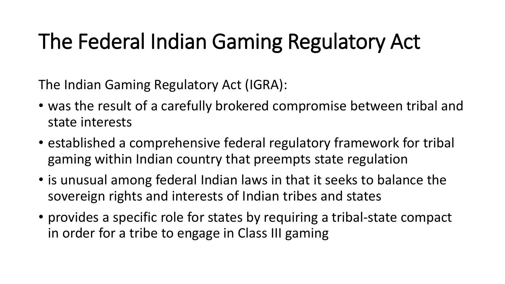# The Federal Indian Gaming Regulatory Act

The Indian Gaming Regulatory Act (IGRA):

- was the result of a carefully brokered compromise between tribal and state interests
- established a comprehensive federal regulatory framework for tribal gaming within Indian country that preempts state regulation
- is unusual among federal Indian laws in that it seeks to balance the sovereign rights and interests of Indian tribes and states
- provides a specific role for states by requiring a tribal-state compact in order for a tribe to engage in Class III gaming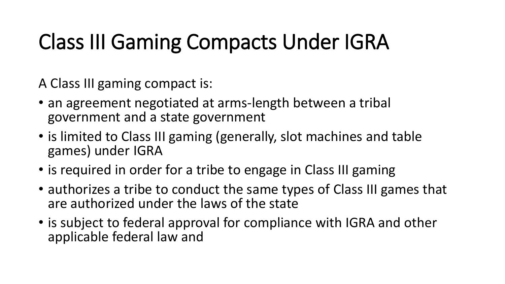# Class III Gaming Compacts Under IGRA

A Class III gaming compact is:

- an agreement negotiated at arms-length between a tribal government and a state government
- is limited to Class III gaming (generally, slot machines and table games) under IGRA
- is required in order for a tribe to engage in Class III gaming
- authorizes a tribe to conduct the same types of Class III games that are authorized under the laws of the state
- is subject to federal approval for compliance with IGRA and other applicable federal law and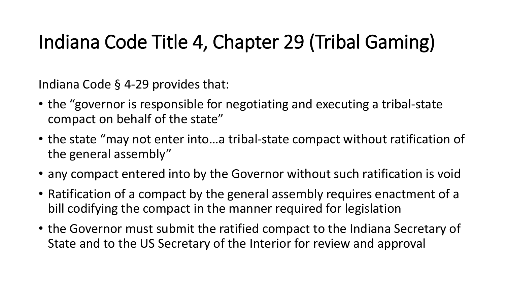# Indiana Code Title 4, Chapter 29 (Tribal Gaming)

Indiana Code § 4-29 provides that:

- the "governor is responsible for negotiating and executing a tribal-state compact on behalf of the state"
- the state "may not enter into…a tribal-state compact without ratification of the general assembly"
- any compact entered into by the Governor without such ratification is void
- Ratification of a compact by the general assembly requires enactment of a bill codifying the compact in the manner required for legislation
- the Governor must submit the ratified compact to the Indiana Secretary of State and to the US Secretary of the Interior for review and approval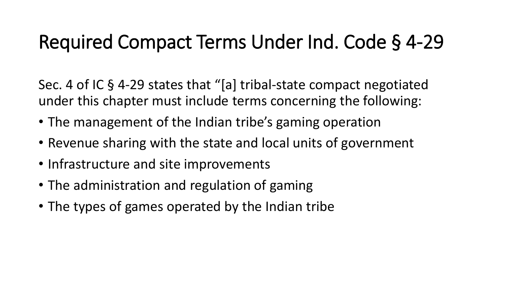## Required Compact Terms Under Ind. Code § 4-29

Sec. 4 of IC § 4-29 states that "[a] tribal-state compact negotiated under this chapter must include terms concerning the following:

- The management of the Indian tribe's gaming operation
- Revenue sharing with the state and local units of government
- Infrastructure and site improvements
- The administration and regulation of gaming
- The types of games operated by the Indian tribe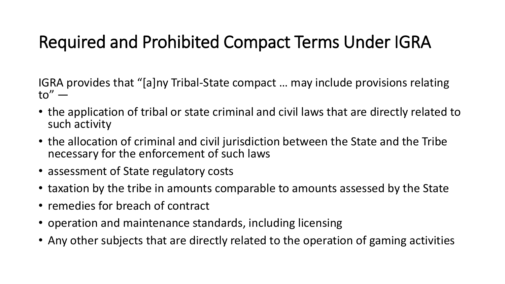### Required and Prohibited Compact Terms Under IGRA

IGRA provides that "[a]ny Tribal-State compact … may include provisions relating  $to''$  —

- the application of tribal or state criminal and civil laws that are directly related to such activity
- the allocation of criminal and civil jurisdiction between the State and the Tribe necessary for the enforcement of such laws
- assessment of State regulatory costs
- taxation by the tribe in amounts comparable to amounts assessed by the State
- remedies for breach of contract
- operation and maintenance standards, including licensing
- Any other subjects that are directly related to the operation of gaming activities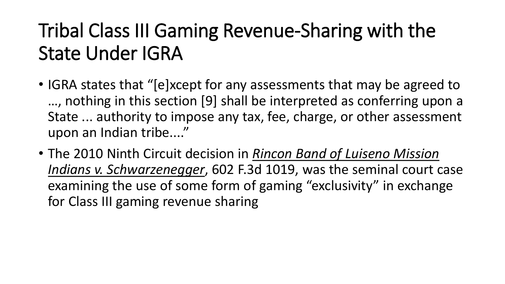# Tribal Class III Gaming Revenue-Sharing with the State Under IGRA

- IGRA states that "[e]xcept for any assessments that may be agreed to …, nothing in this section [9] shall be interpreted as conferring upon a State ... authority to impose any tax, fee, charge, or other assessment upon an Indian tribe...."
- The 2010 Ninth Circuit decision in *Rincon Band of Luiseno Mission Indians v. Schwarzenegger*, 602 F.3d 1019, was the seminal court case examining the use of some form of gaming "exclusivity" in exchange for Class III gaming revenue sharing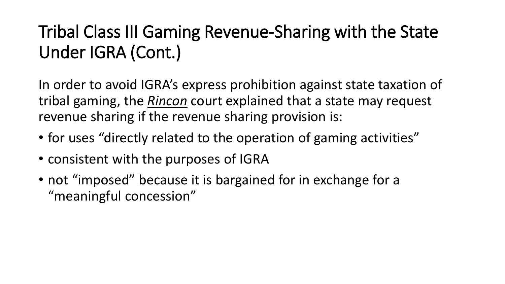### Tribal Class III Gaming Revenue-Sharing with the State Under IGRA (Cont.)

In order to avoid IGRA's express prohibition against state taxation of tribal gaming, the *Rincon* court explained that a state may request revenue sharing if the revenue sharing provision is:

- for uses "directly related to the operation of gaming activities"
- consistent with the purposes of IGRA
- not "imposed" because it is bargained for in exchange for a "meaningful concession"